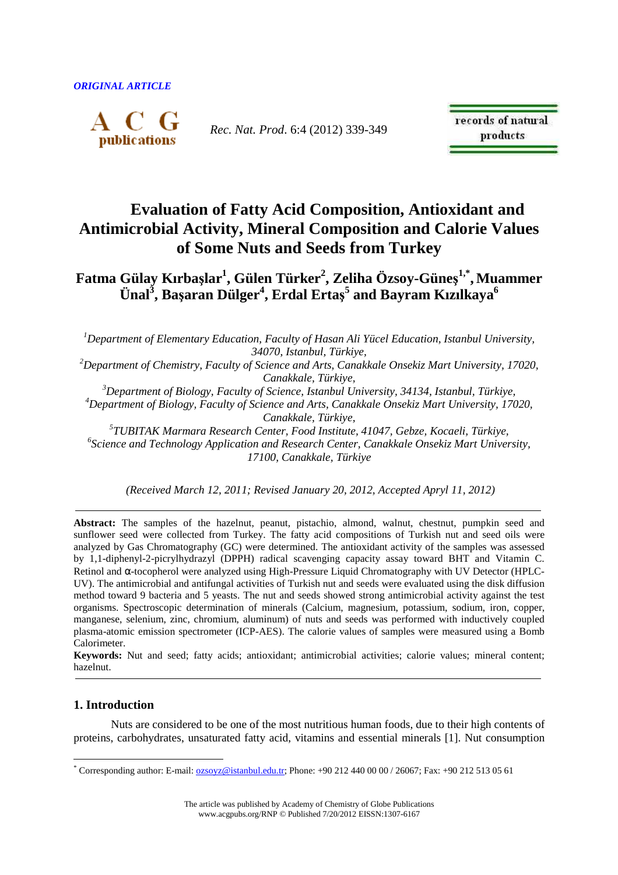

*Rec. Nat. Prod*. 6:4 (2012) 339-349

records of natural products

# **Evaluation of Fatty Acid Composition, Antioxidant and Antimicrobial Activity, Mineral Composition and Calorie Values of Some Nuts and Seeds from Turkey**

**Fatma Gülay Kırbaşlar<sup>1</sup> , Gülen Türker<sup>2</sup> , Zeliha Özsoy-Güneş 1,\* , Muammer Ünal<sup>3</sup> , Başaran Dülger<sup>4</sup> , Erdal Ertaş 5 and Bayram Kızılkaya<sup>6</sup>**

*<sup>1</sup>Department of Elementary Education, Faculty of Hasan Ali Yücel Education, Istanbul University, 34070, Istanbul, Türkiye,* 

*<sup>2</sup>Department of Chemistry, Faculty of Science and Arts, Canakkale Onsekiz Mart University, 17020, Canakkale, Türkiye,* 

*<sup>3</sup>Department of Biology, Faculty of Science, Istanbul University, 34134, Istanbul, Türkiye, <sup>4</sup>Department of Biology, Faculty of Science and Arts, Canakkale Onsekiz Mart University, 17020, Canakkale, Türkiye,* 

*5 TUBITAK Marmara Research Center, Food Institute, 41047, Gebze, Kocaeli, Türkiye, 6 Science and Technology Application and Research Center, Canakkale Onsekiz Mart University, 17100, Canakkale, Türkiye* 

 *(Received March 12, 2011; Revised January 20, 2012, Accepted Apryl 11, 2012)* 

**Abstract:** The samples of the hazelnut, peanut, pistachio, almond, walnut, chestnut, pumpkin seed and sunflower seed were collected from Turkey. The fatty acid compositions of Turkish nut and seed oils were analyzed by Gas Chromatography (GC) were determined. The antioxidant activity of the samples was assessed by 1,1-diphenyl-2-picrylhydrazyl (DPPH) radical scavenging capacity assay toward BHT and Vitamin C. Retinol and α-tocopherol were analyzed using High-Pressure Liquid Chromatography with UV Detector (HPLC-UV). The antimicrobial and antifungal activities of Turkish nut and seeds were evaluated using the disk diffusion method toward 9 bacteria and 5 yeasts. The nut and seeds showed strong antimicrobial activity against the test organisms. Spectroscopic determination of minerals (Calcium, magnesium, potassium, sodium, iron, copper, manganese, selenium, zinc, chromium, aluminum) of nuts and seeds was performed with inductively coupled plasma-atomic emission spectrometer (ICP-AES). The calorie values of samples were measured using a Bomb Calorimeter.

**Keywords:** Nut and seed; fatty acids; antioxidant; antimicrobial activities; calorie values; mineral content; hazelnut.

# **1. Introduction**

 $\overline{a}$ 

Nuts are considered to be one of the most nutritious human foods, due to their high contents of proteins, carbohydrates, unsaturated fatty acid, vitamins and essential minerals [1]. Nut consumption

<sup>\*</sup> Corresponding author: E-mail: **<u>ozsoyz@istanbul.edu.tr</u>;** Phone: +90 212 440 00 00 / 26067; Fax: +90 212 513 05 61

The article was published by Academy of Chemistry of Globe Publications www.acgpubs.org/RNP © Published 7/20/2012 EISSN:1307-6167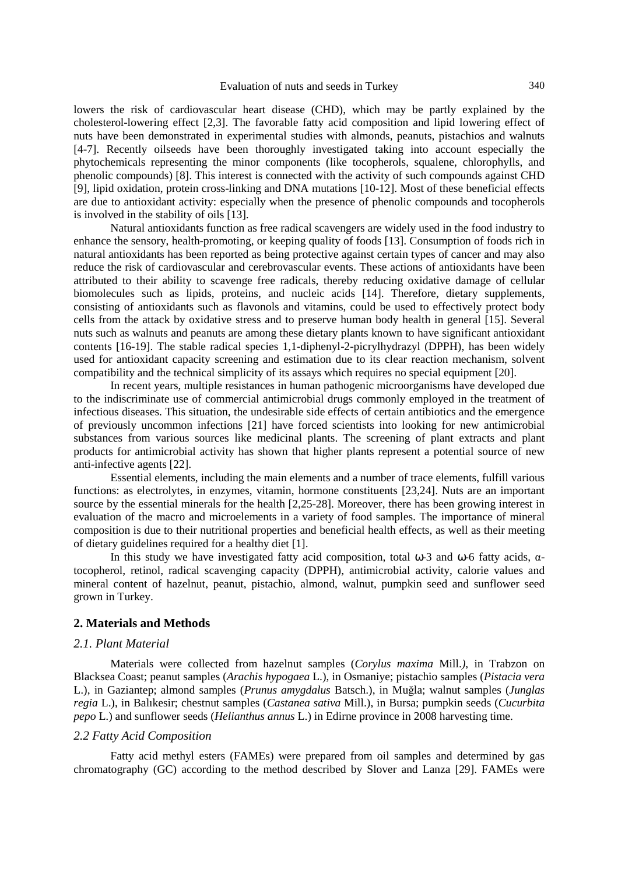lowers the risk of cardiovascular heart disease (CHD), which may be partly explained by the cholesterol-lowering effect [2,3]. The favorable fatty acid composition and lipid lowering effect of nuts have been demonstrated in experimental studies with almonds, peanuts, pistachios and walnuts [4-7]. Recently oilseeds have been thoroughly investigated taking into account especially the phytochemicals representing the minor components (like tocopherols, squalene, chlorophylls, and phenolic compounds) [8]. This interest is connected with the activity of such compounds against CHD [9], lipid oxidation, protein cross-linking and DNA mutations [10-12]. Most of these beneficial effects are due to antioxidant activity: especially when the presence of phenolic compounds and tocopherols is involved in the stability of oils [13].

Natural antioxidants function as free radical scavengers are widely used in the food industry to enhance the sensory, health-promoting, or keeping quality of foods [13]. Consumption of foods rich in natural antioxidants has been reported as being protective against certain types of cancer and may also reduce the risk of cardiovascular and cerebrovascular events. These actions of antioxidants have been attributed to their ability to scavenge free radicals, thereby reducing oxidative damage of cellular biomolecules such as lipids, proteins, and nucleic acids [14]. Therefore, dietary supplements, consisting of antioxidants such as flavonols and vitamins, could be used to effectively protect body cells from the attack by oxidative stress and to preserve human body health in general [15]. Several nuts such as walnuts and peanuts are among these dietary plants known to have significant antioxidant contents [16-19]. The stable radical species 1,1-diphenyl-2-picrylhydrazyl (DPPH), has been widely used for antioxidant capacity screening and estimation due to its clear reaction mechanism, solvent compatibility and the technical simplicity of its assays which requires no special equipment [20].

In recent years, multiple resistances in human pathogenic microorganisms have developed due to the indiscriminate use of commercial antimicrobial drugs commonly employed in the treatment of infectious diseases. This situation, the undesirable side effects of certain antibiotics and the emergence of previously uncommon infections [21] have forced scientists into looking for new antimicrobial substances from various sources like medicinal plants. The screening of plant extracts and plant products for antimicrobial activity has shown that higher plants represent a potential source of new anti-infective agents [22].

Essential elements, including the main elements and a number of trace elements, fulfill various functions: as electrolytes, in enzymes, vitamin, hormone constituents [23,24]. Nuts are an important source by the essential minerals for the health [2,25-28]. Moreover, there has been growing interest in evaluation of the macro and microelements in a variety of food samples. The importance of mineral composition is due to their nutritional properties and beneficial health effects, as well as their meeting of dietary guidelines required for a healthy diet [1].

In this study we have investigated fatty acid composition, total ω-3 and ω-6 fatty acids, αtocopherol, retinol, radical scavenging capacity (DPPH), antimicrobial activity, calorie values and mineral content of hazelnut, peanut, pistachio, almond, walnut, pumpkin seed and sunflower seed grown in Turkey.

#### **2. Materials and Methods**

#### *2.1. Plant Material*

Materials were collected from hazelnut samples (*Corylus maxima* Mill.*),* in Trabzon on Blacksea Coast; peanut samples (*Arachis hypogaea* L.), in Osmaniye; pistachio samples (*Pistacia vera*  L.), in Gaziantep; almond samples (*Prunus amygdalus* Batsch.), in Muğla; walnut samples (*Junglas regia* L.), in Balıkesir; chestnut samples (*Castanea sativa* Mill.), in Bursa; pumpkin seeds (*Cucurbita pepo* L.) and sunflower seeds (*Helianthus annus* L.) in Edirne province in 2008 harvesting time.

#### *2.2 Fatty Acid Composition*

Fatty acid methyl esters (FAMEs) were prepared from oil samples and determined by gas chromatography (GC) according to the method described by Slover and Lanza [29]. FAMEs were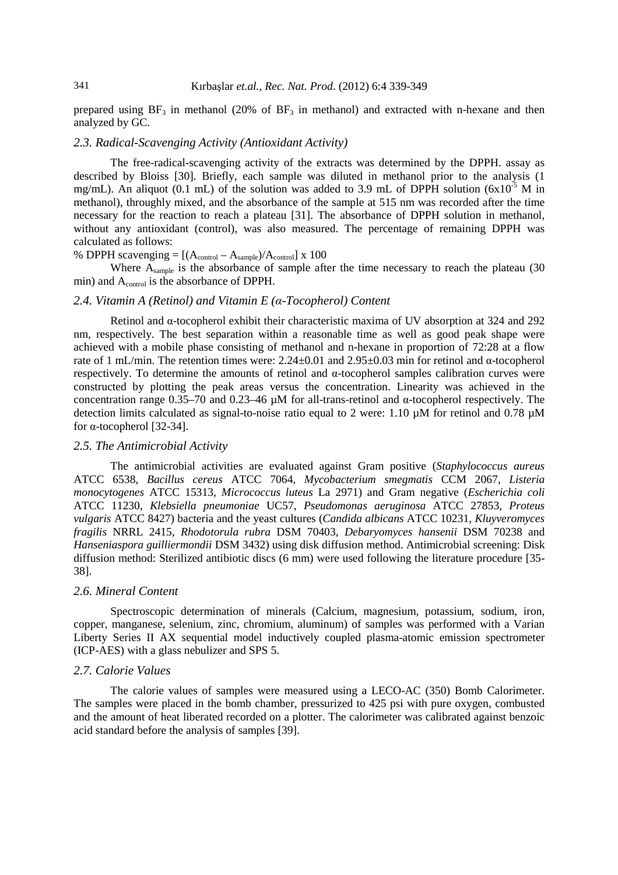prepared using  $BF_3$  in methanol (20% of  $BF_3$  in methanol) and extracted with n-hexane and then analyzed by GC.

# *2.3. Radical-Scavenging Activity (Antioxidant Activity)*

The free-radical-scavenging activity of the extracts was determined by the DPPH. assay as described by Bloiss [30]. Briefly, each sample was diluted in methanol prior to the analysis (1 mg/mL). An aliquot (0.1 mL) of the solution was added to 3.9 mL of DPPH solution (6x10<sup>-5</sup> M in methanol), throughly mixed, and the absorbance of the sample at 515 nm was recorded after the time necessary for the reaction to reach a plateau [31]. The absorbance of DPPH solution in methanol, without any antioxidant (control), was also measured. The percentage of remaining DPPH was calculated as follows:

% DPPH scavenging  $= [(A_{control} - A_{sample})/A_{control}] \times 100$ 

Where A<sub>sample</sub> is the absorbance of sample after the time necessary to reach the plateau (30) min) and A<sub>control</sub> is the absorbance of DPPH.

#### *2.4. Vitamin A (Retinol) and Vitamin E (α-Tocopherol) Content*

Retinol and  $\alpha$ -tocopherol exhibit their characteristic maxima of UV absorption at 324 and 292 nm, respectively. The best separation within a reasonable time as well as good peak shape were achieved with a mobile phase consisting of methanol and n-hexane in proportion of 72:28 at a flow rate of 1 mL/min. The retention times were: 2.24±0.01 and 2.95±0.03 min for retinol and α-tocopherol respectively. To determine the amounts of retinol and α-tocopherol samples calibration curves were constructed by plotting the peak areas versus the concentration. Linearity was achieved in the concentration range 0.35–70 and 0.23–46  $\mu$ M for all-trans-retinol and  $\alpha$ -tocopherol respectively. The detection limits calculated as signal-to-noise ratio equal to 2 were: 1.10 µM for retinol and 0.78 µM for α-tocopherol [32-34].

#### *2.5. The Antimicrobial Activity*

The antimicrobial activities are evaluated against Gram positive (*Staphylococcus aureus* ATCC 6538, *Bacillus cereus* ATCC 7064, *Mycobacterium smegmatis* CCM 2067, *Listeria monocytogenes* ATCC 15313, *Micrococcus luteus* La 2971) and Gram negative (*Escherichia coli* ATCC 11230, *Klebsiella pneumoniae* UC57, *Pseudomonas aeruginosa* ATCC 27853, *Proteus vulgaris* ATCC 8427) bacteria and the yeast cultures (*Candida albicans* ATCC 10231, *Kluyveromyces fragilis* NRRL 2415, *Rhodotorula rubra* DSM 70403, *Debaryomyces hansenii* DSM 70238 and *Hanseniaspora guilliermondii* DSM 3432) using disk diffusion method. Antimicrobial screening: Disk diffusion method: Sterilized antibiotic discs (6 mm) were used following the literature procedure [35- 38].

#### *2.6. Mineral Content*

Spectroscopic determination of minerals (Calcium, magnesium, potassium, sodium, iron, copper, manganese, selenium, zinc, chromium, aluminum) of samples was performed with a Varian Liberty Series II AX sequential model inductively coupled plasma-atomic emission spectrometer (ICP-AES) with a glass nebulizer and SPS 5.

## *2.7. Calorie Values*

The calorie values of samples were measured using a LECO-AC (350) Bomb Calorimeter. The samples were placed in the bomb chamber, pressurized to 425 psi with pure oxygen, combusted and the amount of heat liberated recorded on a plotter. The calorimeter was calibrated against benzoic acid standard before the analysis of samples [39].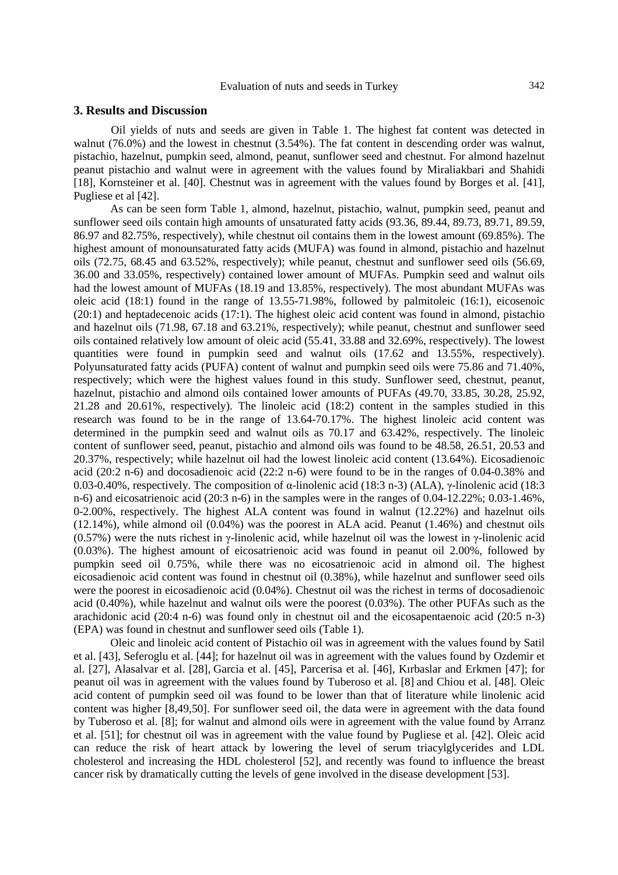# Evaluation of nuts and seeds in Turkey 342

# **3. Results and Discussion**

Oil yields of nuts and seeds are given in Table 1. The highest fat content was detected in walnut (76.0%) and the lowest in chestnut (3.54%). The fat content in descending order was walnut, pistachio, hazelnut, pumpkin seed, almond, peanut, sunflower seed and chestnut. For almond hazelnut peanut pistachio and walnut were in agreement with the values found by Miraliakbari and Shahidi [18], Kornsteiner et al. [40]. Chestnut was in agreement with the values found by Borges et al. [41], Pugliese et al [42].

As can be seen form Table 1, almond, hazelnut, pistachio, walnut, pumpkin seed, peanut and sunflower seed oils contain high amounts of unsaturated fatty acids (93.36, 89.44, 89.73, 89.71, 89.59, 86.97 and 82.75%, respectively), while chestnut oil contains them in the lowest amount (69.85%). The highest amount of monounsaturated fatty acids (MUFA) was found in almond, pistachio and hazelnut oils (72.75, 68.45 and 63.52%, respectively); while peanut, chestnut and sunflower seed oils (56.69, 36.00 and 33.05%, respectively) contained lower amount of MUFAs. Pumpkin seed and walnut oils had the lowest amount of MUFAs (18.19 and 13.85%, respectively). The most abundant MUFAs was oleic acid (18:1) found in the range of 13.55-71.98%, followed by palmitoleic (16:1), eicosenoic (20:1) and heptadecenoic acids (17:1). The highest oleic acid content was found in almond, pistachio and hazelnut oils (71.98, 67.18 and 63.21%, respectively); while peanut, chestnut and sunflower seed oils contained relatively low amount of oleic acid (55.41, 33.88 and 32.69%, respectively). The lowest quantities were found in pumpkin seed and walnut oils (17.62 and 13.55%, respectively). Polyunsaturated fatty acids (PUFA) content of walnut and pumpkin seed oils were 75.86 and 71.40%, respectively; which were the highest values found in this study. Sunflower seed, chestnut, peanut, hazelnut, pistachio and almond oils contained lower amounts of PUFAs (49.70, 33.85, 30.28, 25.92, 21.28 and 20.61%, respectively). The linoleic acid (18:2) content in the samples studied in this research was found to be in the range of 13.64-70.17%. The highest linoleic acid content was determined in the pumpkin seed and walnut oils as 70.17 and 63.42%, respectively. The linoleic content of sunflower seed, peanut, pistachio and almond oils was found to be 48.58, 26.51, 20.53 and 20.37%, respectively; while hazelnut oil had the lowest linoleic acid content (13.64%). Eicosadienoic acid (20:2 n-6) and docosadienoic acid (22:2 n-6) were found to be in the ranges of 0.04-0.38% and 0.03-0.40%, respectively. The composition of α-linolenic acid (18:3 n-3) (ALA), γ-linolenic acid (18:3 n-6) and eicosatrienoic acid (20:3 n-6) in the samples were in the ranges of 0.04-12.22%; 0.03-1.46%, 0-2.00%, respectively. The highest ALA content was found in walnut (12.22%) and hazelnut oils (12.14%), while almond oil (0.04%) was the poorest in ALA acid. Peanut (1.46%) and chestnut oils (0.57%) were the nuts richest in γ-linolenic acid, while hazelnut oil was the lowest in γ-linolenic acid (0.03%). The highest amount of eicosatrienoic acid was found in peanut oil 2.00%, followed by pumpkin seed oil 0.75%, while there was no eicosatrienoic acid in almond oil. The highest eicosadienoic acid content was found in chestnut oil (0.38%), while hazelnut and sunflower seed oils were the poorest in eicosadienoic acid (0.04%). Chestnut oil was the richest in terms of docosadienoic acid (0.40%), while hazelnut and walnut oils were the poorest (0.03%). The other PUFAs such as the arachidonic acid (20:4 n-6) was found only in chestnut oil and the eicosapentaenoic acid (20:5 n-3) (EPA) was found in chestnut and sunflower seed oils (Table 1).

Oleic and linoleic acid content of Pistachio oil was in agreement with the values found by Satil et al. [43], Seferoglu et al. [44]; for hazelnut oil was in agreement with the values found by Ozdemir et al. [27], Alasalvar et al. [28], Garcia et al. [45], Parcerisa et al. [46], Kırbaslar and Erkmen [47]; for peanut oil was in agreement with the values found by Tuberoso et al. [8] and Chiou et al. [48]. Oleic acid content of pumpkin seed oil was found to be lower than that of literature while linolenic acid content was higher [8,49,50]. For sunflower seed oil, the data were in agreement with the data found by Tuberoso et al. [8]; for walnut and almond oils were in agreement with the value found by Arranz et al. [51]; for chestnut oil was in agreement with the value found by Pugliese et al. [42]. Oleic acid can reduce the risk of heart attack by lowering the level of serum triacylglycerides and LDL cholesterol and increasing the HDL cholesterol [52], and recently was found to influence the breast cancer risk by dramatically cutting the levels of gene involved in the disease development [53].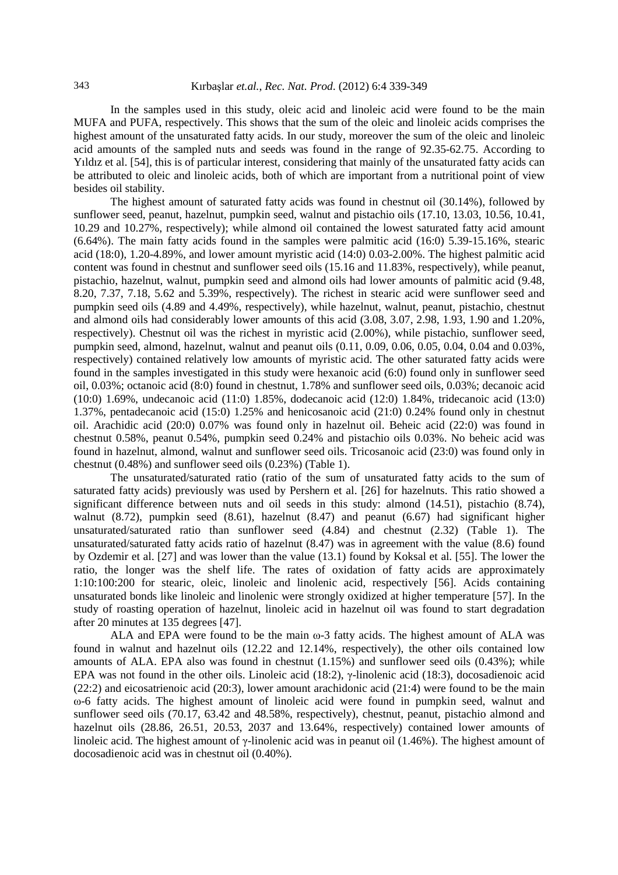In the samples used in this study, oleic acid and linoleic acid were found to be the main MUFA and PUFA, respectively. This shows that the sum of the oleic and linoleic acids comprises the highest amount of the unsaturated fatty acids. In our study, moreover the sum of the oleic and linoleic acid amounts of the sampled nuts and seeds was found in the range of 92.35-62.75. According to Yıldız et al. [54], this is of particular interest, considering that mainly of the unsaturated fatty acids can be attributed to oleic and linoleic acids, both of which are important from a nutritional point of view besides oil stability.

The highest amount of saturated fatty acids was found in chestnut oil (30.14%), followed by sunflower seed, peanut, hazelnut, pumpkin seed, walnut and pistachio oils (17.10, 13.03, 10.56, 10.41, 10.29 and 10.27%, respectively); while almond oil contained the lowest saturated fatty acid amount (6.64%). The main fatty acids found in the samples were palmitic acid (16:0) 5.39-15.16%, stearic acid (18:0), 1.20-4.89%, and lower amount myristic acid (14:0) 0.03-2.00%. The highest palmitic acid content was found in chestnut and sunflower seed oils (15.16 and 11.83%, respectively), while peanut, pistachio, hazelnut, walnut, pumpkin seed and almond oils had lower amounts of palmitic acid (9.48, 8.20, 7.37, 7.18, 5.62 and 5.39%, respectively). The richest in stearic acid were sunflower seed and pumpkin seed oils (4.89 and 4.49%, respectively), while hazelnut, walnut, peanut, pistachio, chestnut and almond oils had considerably lower amounts of this acid (3.08, 3.07, 2.98, 1.93, 1.90 and 1.20%, respectively). Chestnut oil was the richest in myristic acid (2.00%), while pistachio, sunflower seed, pumpkin seed, almond, hazelnut, walnut and peanut oils (0.11, 0.09, 0.06, 0.05, 0.04, 0.04 and 0.03%, respectively) contained relatively low amounts of myristic acid. The other saturated fatty acids were found in the samples investigated in this study were hexanoic acid (6:0) found only in sunflower seed oil, 0.03%; octanoic acid (8:0) found in chestnut, 1.78% and sunflower seed oils, 0.03%; decanoic acid (10:0) 1.69%, undecanoic acid (11:0) 1.85%, dodecanoic acid (12:0) 1.84%, tridecanoic acid (13:0) 1.37%, pentadecanoic acid (15:0) 1.25% and henicosanoic acid (21:0) 0.24% found only in chestnut oil. Arachidic acid (20:0) 0.07% was found only in hazelnut oil. Beheic acid (22:0) was found in chestnut 0.58%, peanut 0.54%, pumpkin seed 0.24% and pistachio oils 0.03%. No beheic acid was found in hazelnut, almond, walnut and sunflower seed oils. Tricosanoic acid (23:0) was found only in chestnut (0.48%) and sunflower seed oils (0.23%) (Table 1).

The unsaturated/saturated ratio (ratio of the sum of unsaturated fatty acids to the sum of saturated fatty acids) previously was used by Pershern et al. [26] for hazelnuts. This ratio showed a significant difference between nuts and oil seeds in this study: almond (14.51), pistachio (8.74), walnut (8.72), pumpkin seed (8.61), hazelnut (8.47) and peanut (6.67) had significant higher unsaturated/saturated ratio than sunflower seed (4.84) and chestnut (2.32) (Table 1). The unsaturated/saturated fatty acids ratio of hazelnut (8.47) was in agreement with the value (8.6) found by Ozdemir et al. [27] and was lower than the value (13.1) found by Koksal et al. [55]. The lower the ratio, the longer was the shelf life. The rates of oxidation of fatty acids are approximately 1:10:100:200 for stearic, oleic, linoleic and linolenic acid, respectively [56]. Acids containing unsaturated bonds like linoleic and linolenic were strongly oxidized at higher temperature [57]. In the study of roasting operation of hazelnut, linoleic acid in hazelnut oil was found to start degradation after 20 minutes at 135 degrees [47].

ALA and EPA were found to be the main ω-3 fatty acids. The highest amount of ALA was found in walnut and hazelnut oils (12.22 and 12.14%, respectively), the other oils contained low amounts of ALA. EPA also was found in chestnut (1.15%) and sunflower seed oils (0.43%); while EPA was not found in the other oils. Linoleic acid (18:2), γ-linolenic acid (18:3), docosadienoic acid (22:2) and eicosatrienoic acid (20:3), lower amount arachidonic acid (21:4) were found to be the main ω-6 fatty acids. The highest amount of linoleic acid were found in pumpkin seed, walnut and sunflower seed oils (70.17, 63.42 and 48.58%, respectively), chestnut, peanut, pistachio almond and hazelnut oils (28.86, 26.51, 20.53, 2037 and 13.64%, respectively) contained lower amounts of linoleic acid. The highest amount of γ-linolenic acid was in peanut oil (1.46%). The highest amount of docosadienoic acid was in chestnut oil (0.40%).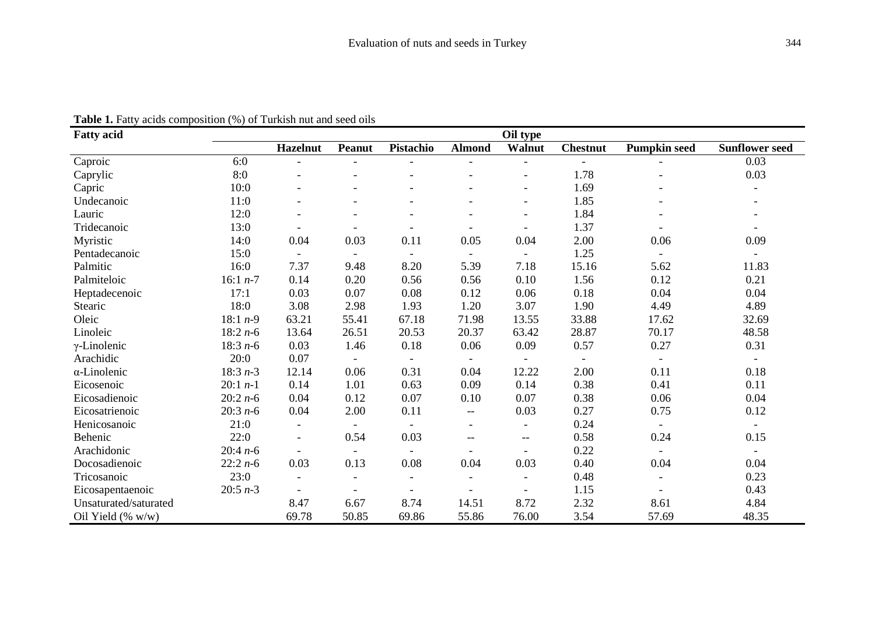| <b>Fatty acid</b>     | Oil type   |                 |                          |                          |                          |                          |                          |                          |                          |
|-----------------------|------------|-----------------|--------------------------|--------------------------|--------------------------|--------------------------|--------------------------|--------------------------|--------------------------|
|                       |            | <b>Hazelnut</b> | <b>Peanut</b>            | Pistachio                | <b>Almond</b>            | Walnut                   | <b>Chestnut</b>          | <b>Pumpkin seed</b>      | <b>Sunflower seed</b>    |
| Caproic               | 6:0        |                 |                          |                          |                          | $\overline{\phantom{0}}$ |                          |                          | 0.03                     |
| Caprylic              | 8:0        |                 |                          |                          |                          | $\overline{\phantom{a}}$ | 1.78                     |                          | 0.03                     |
| Capric                | 10:0       |                 |                          |                          |                          | $\overline{\phantom{0}}$ | 1.69                     |                          |                          |
| Undecanoic            | 11:0       |                 |                          |                          |                          |                          | 1.85                     |                          |                          |
| Lauric                | 12:0       |                 |                          |                          |                          | $\overline{\phantom{0}}$ | 1.84                     |                          |                          |
| Tridecanoic           | 13:0       |                 |                          |                          |                          |                          | 1.37                     |                          |                          |
| Myristic              | 14:0       | 0.04            | 0.03                     | 0.11                     | 0.05                     | 0.04                     | 2.00                     | 0.06                     | 0.09                     |
| Pentadecanoic         | 15:0       |                 | $\overline{\phantom{a}}$ | $\overline{\phantom{a}}$ | $\overline{\phantom{a}}$ |                          | 1.25                     |                          |                          |
| Palmitic              | 16:0       | 7.37            | 9.48                     | 8.20                     | 5.39                     | 7.18                     | 15.16                    | 5.62                     | 11.83                    |
| Palmiteloic           | 16:1 $n-7$ | 0.14            | 0.20                     | 0.56                     | 0.56                     | 0.10                     | 1.56                     | 0.12                     | 0.21                     |
| Heptadecenoic         | 17:1       | 0.03            | 0.07                     | 0.08                     | 0.12                     | 0.06                     | 0.18                     | 0.04                     | 0.04                     |
| Stearic               | 18:0       | 3.08            | 2.98                     | 1.93                     | 1.20                     | 3.07                     | 1.90                     | 4.49                     | 4.89                     |
| Oleic                 | 18:1 $n-9$ | 63.21           | 55.41                    | 67.18                    | 71.98                    | 13.55                    | 33.88                    | 17.62                    | 32.69                    |
| Linoleic              | $18:2n-6$  | 13.64           | 26.51                    | 20.53                    | 20.37                    | 63.42                    | 28.87                    | 70.17                    | 48.58                    |
| $\gamma$ -Linolenic   | 18:3 $n-6$ | 0.03            | 1.46                     | 0.18                     | 0.06                     | 0.09                     | 0.57                     | 0.27                     | 0.31                     |
| Arachidic             | 20:0       | 0.07            | $\overline{\phantom{a}}$ | $\overline{\phantom{a}}$ | $\overline{\phantom{a}}$ | $\overline{\phantom{a}}$ | $\overline{\phantom{a}}$ | $\overline{\phantom{a}}$ | $\overline{\phantom{a}}$ |
| $\alpha$ -Linolenic   | $18:3n-3$  | 12.14           | 0.06                     | 0.31                     | 0.04                     | 12.22                    | 2.00                     | 0.11                     | 0.18                     |
| Eicosenoic            | $20:1 n-1$ | 0.14            | 1.01                     | 0.63                     | 0.09                     | 0.14                     | 0.38                     | 0.41                     | 0.11                     |
| Eicosadienoic         | $20:2n-6$  | 0.04            | 0.12                     | 0.07                     | 0.10                     | 0.07                     | 0.38                     | 0.06                     | 0.04                     |
| Eicosatrienoic        | $20:3 n-6$ | $0.04\,$        | 2.00                     | 0.11                     | $-$                      | 0.03                     | 0.27                     | 0.75                     | 0.12                     |
| Henicosanoic          | 21:0       | $\blacksquare$  |                          |                          |                          |                          | 0.24                     |                          | $\overline{\phantom{a}}$ |
| Behenic               | 22:0       |                 | 0.54                     | 0.03                     | --                       | $-\,-$                   | 0.58                     | 0.24                     | 0.15                     |
| Arachidonic           | $20:4n-6$  |                 |                          |                          |                          |                          | 0.22                     |                          |                          |
| Docosadienoic         | $22:2n-6$  | 0.03            | 0.13                     | 0.08                     | 0.04                     | 0.03                     | 0.40                     | 0.04                     | 0.04                     |
| Tricosanoic           | 23:0       | $\overline{a}$  |                          | $\overline{\phantom{a}}$ | $\blacksquare$           |                          | 0.48                     |                          | 0.23                     |
| Eicosapentaenoic      | $20:5 n-3$ | $\blacksquare$  | $\blacksquare$           | $\overline{\phantom{a}}$ |                          | $\blacksquare$           | 1.15                     |                          | 0.43                     |
| Unsaturated/saturated |            | 8.47            | 6.67                     | 8.74                     | 14.51                    | 8.72                     | 2.32                     | 8.61                     | 4.84                     |
| Oil Yield (% w/w)     |            | 69.78           | 50.85                    | 69.86                    | 55.86                    | 76.00                    | 3.54                     | 57.69                    | 48.35                    |

# **Table 1.** Fatty acids composition (%) of Turkish nut and seed oils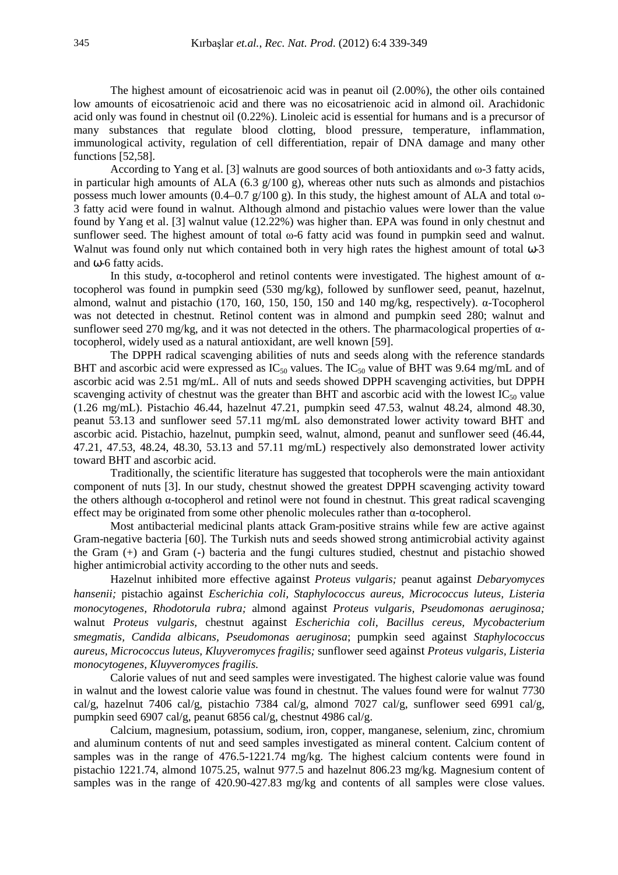The highest amount of eicosatrienoic acid was in peanut oil (2.00%), the other oils contained low amounts of eicosatrienoic acid and there was no eicosatrienoic acid in almond oil. Arachidonic acid only was found in chestnut oil (0.22%). Linoleic acid is essential for humans and is a precursor of many substances that regulate blood clotting, blood pressure, temperature, inflammation, immunological activity, regulation of cell differentiation, repair of DNA damage and many other functions [52,58].

According to Yang et al. [3] walnuts are good sources of both antioxidants and  $\omega$ -3 fatty acids, in particular high amounts of ALA (6.3  $g/100 g$ ), whereas other nuts such as almonds and pistachios possess much lower amounts (0.4–0.7 g/100 g). In this study, the highest amount of ALA and total  $\omega$ -3 fatty acid were found in walnut. Although almond and pistachio values were lower than the value found by Yang et al. [3] walnut value (12.22%) was higher than. EPA was found in only chestnut and sunflower seed. The highest amount of total ω-6 fatty acid was found in pumpkin seed and walnut. Walnut was found only nut which contained both in very high rates the highest amount of total ω-3 and ω-6 fatty acids.

In this study,  $\alpha$ -tocopherol and retinol contents were investigated. The highest amount of  $\alpha$ tocopherol was found in pumpkin seed (530 mg/kg), followed by sunflower seed, peanut, hazelnut, almond, walnut and pistachio (170, 160, 150, 150, 150 and 140 mg/kg, respectively). α-Tocopherol was not detected in chestnut. Retinol content was in almond and pumpkin seed 280; walnut and sunflower seed 270 mg/kg, and it was not detected in the others. The pharmacological properties of  $\alpha$ tocopherol, widely used as a natural antioxidant, are well known [59].

The DPPH radical scavenging abilities of nuts and seeds along with the reference standards BHT and ascorbic acid were expressed as  $IC_{50}$  values. The  $IC_{50}$  value of BHT was 9.64 mg/mL and of ascorbic acid was 2.51 mg/mL. All of nuts and seeds showed DPPH scavenging activities, but DPPH scavenging activity of chestnut was the greater than BHT and ascorbic acid with the lowest  $IC_{50}$  value (1.26 mg/mL). Pistachio 46.44, hazelnut 47.21, pumpkin seed 47.53, walnut 48.24, almond 48.30, peanut 53.13 and sunflower seed 57.11 mg/mL also demonstrated lower activity toward BHT and ascorbic acid. Pistachio, hazelnut, pumpkin seed, walnut, almond, peanut and sunflower seed (46.44, 47.21, 47.53, 48.24, 48.30, 53.13 and 57.11 mg/mL) respectively also demonstrated lower activity toward BHT and ascorbic acid.

Traditionally, the scientific literature has suggested that tocopherols were the main antioxidant component of nuts [3]. In our study, chestnut showed the greatest DPPH scavenging activity toward the others although α-tocopherol and retinol were not found in chestnut. This great radical scavenging effect may be originated from some other phenolic molecules rather than  $\alpha$ -tocopherol.

Most antibacterial medicinal plants attack Gram-positive strains while few are active against Gram-negative bacteria [60]. The Turkish nuts and seeds showed strong antimicrobial activity against the Gram (+) and Gram (-) bacteria and the fungi cultures studied, chestnut and pistachio showed higher antimicrobial activity according to the other nuts and seeds.

Hazelnut inhibited more effective against *Proteus vulgaris;* peanut against *Debaryomyces hansenii;* pistachio against *Escherichia coli, Staphylococcus aureus, Micrococcus luteus, Listeria monocytogenes, Rhodotorula rubra;* almond against *Proteus vulgaris, Pseudomonas aeruginosa;*  walnut *Proteus vulgaris,* chestnut against *Escherichia coli, Bacillus cereus, Mycobacterium smegmatis, Candida albicans, Pseudomonas aeruginosa*; pumpkin seed against *Staphylococcus aureus, Micrococcus luteus, Kluyveromyces fragilis;* sunflower seed against *Proteus vulgaris, Listeria monocytogenes, Kluyveromyces fragilis*.

Calorie values of nut and seed samples were investigated. The highest calorie value was found in walnut and the lowest calorie value was found in chestnut. The values found were for walnut 7730 cal/g, hazelnut 7406 cal/g, pistachio 7384 cal/g, almond 7027 cal/g, sunflower seed 6991 cal/g, pumpkin seed 6907 cal/g, peanut 6856 cal/g, chestnut 4986 cal/g.

Calcium, magnesium, potassium, sodium, iron, copper, manganese, selenium, zinc, chromium and aluminum contents of nut and seed samples investigated as mineral content. Calcium content of samples was in the range of 476.5-1221.74 mg/kg. The highest calcium contents were found in pistachio 1221.74, almond 1075.25, walnut 977.5 and hazelnut 806.23 mg/kg. Magnesium content of samples was in the range of 420.90-427.83 mg/kg and contents of all samples were close values.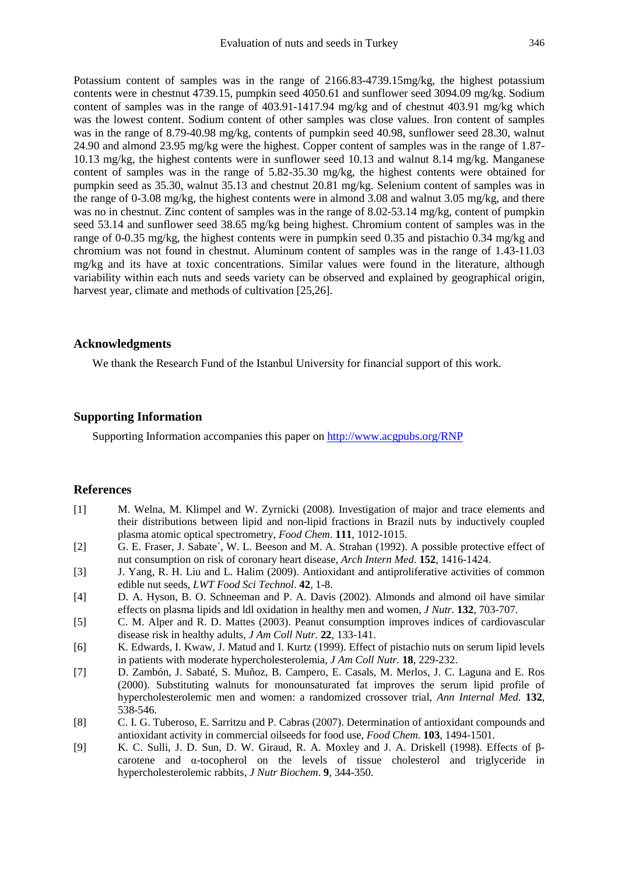Potassium content of samples was in the range of 2166.83-4739.15mg/kg, the highest potassium contents were in chestnut 4739.15, pumpkin seed 4050.61 and sunflower seed 3094.09 mg/kg. Sodium content of samples was in the range of 403.91-1417.94 mg/kg and of chestnut 403.91 mg/kg which was the lowest content. Sodium content of other samples was close values. Iron content of samples was in the range of 8.79-40.98 mg/kg, contents of pumpkin seed 40.98, sunflower seed 28.30, walnut 24.90 and almond 23.95 mg/kg were the highest. Copper content of samples was in the range of 1.87- 10.13 mg/kg, the highest contents were in sunflower seed 10.13 and walnut 8.14 mg/kg. Manganese content of samples was in the range of 5.82-35.30 mg/kg, the highest contents were obtained for pumpkin seed as 35.30, walnut 35.13 and chestnut 20.81 mg/kg. Selenium content of samples was in the range of 0-3.08 mg/kg, the highest contents were in almond 3.08 and walnut 3.05 mg/kg, and there was no in chestnut. Zinc content of samples was in the range of 8.02-53.14 mg/kg, content of pumpkin seed 53.14 and sunflower seed 38.65 mg/kg being highest. Chromium content of samples was in the range of 0-0.35 mg/kg, the highest contents were in pumpkin seed 0.35 and pistachio 0.34 mg/kg and chromium was not found in chestnut. Aluminum content of samples was in the range of 1.43-11.03 mg/kg and its have at toxic concentrations. Similar values were found in the literature, although variability within each nuts and seeds variety can be observed and explained by geographical origin, harvest year, climate and methods of cultivation [25,26].

## **Acknowledgments**

We thank the Research Fund of the Istanbul University for financial support of this work.

# **Supporting Information**

Supporting Information accompanies this paper on http://www.acgpubs.org/RNP

#### **References**

- [1] M. Welna, M. Klimpel and W. Zyrnicki (2008). Investigation of major and trace elements and their distributions between lipid and non-lipid fractions in Brazil nuts by inductively coupled plasma atomic optical spectrometry, *Food Chem*. **111**, 1012-1015.
- [2] G. E. Fraser, J. Sabate´, W. L. Beeson and M. A. Strahan (1992). A possible protective effect of nut consumption on risk of coronary heart disease, *Arch Intern Med*. **152**, 1416-1424.
- [3] J. Yang, R. H. Liu and L. Halim (2009). Antioxidant and antiproliferative activities of common edible nut seeds, *LWT Food Sci Technol*. **42**, 1-8.
- [4] D. A. Hyson, B. O. Schneeman and P. A. Davis (2002). Almonds and almond oil have similar effects on plasma lipids and ldl oxidation in healthy men and women, *J Nutr.* **132**, 703-707.
- [5] C. M. Alper and R. D. Mattes (2003). Peanut consumption improves indices of cardiovascular disease risk in healthy adults*, J Am Coll Nutr.* **22**, 133-141.
- [6] K. Edwards, I. Kwaw, J. Matud and I. Kurtz (1999). Effect of pistachio nuts on serum lipid levels in patients with moderate hypercholesterolemia, *J Am Coll Nutr.* **18**, 229-232.
- [7] D. Zambón, J. Sabaté, S. Muñoz, B. Campero, E. Casals, M. Merlos, J. C. Laguna and E. Ros (2000). Substituting walnuts for monounsaturated fat improves the serum lipid profile of hypercholesterolemic men and women: a randomized crossover trial, *Ann Internal Med.* **132**, 538-546.
- [8] C. I. G. Tuberoso, E. Sarritzu and P. Cabras (2007). Determination of antioxidant compounds and antioxidant activity in commercial oilseeds for food use, *Food Chem.* **103**, 1494-1501.
- [9] K. C. Sulli, J. D. Sun, D. W. Giraud, R. A. Moxley and J. A. Driskell (1998). Effects of βcarotene and α-tocopherol on the levels of tissue cholesterol and triglyceride in hypercholesterolemic rabbits, *J Nutr Biochem*. **9**, 344-350.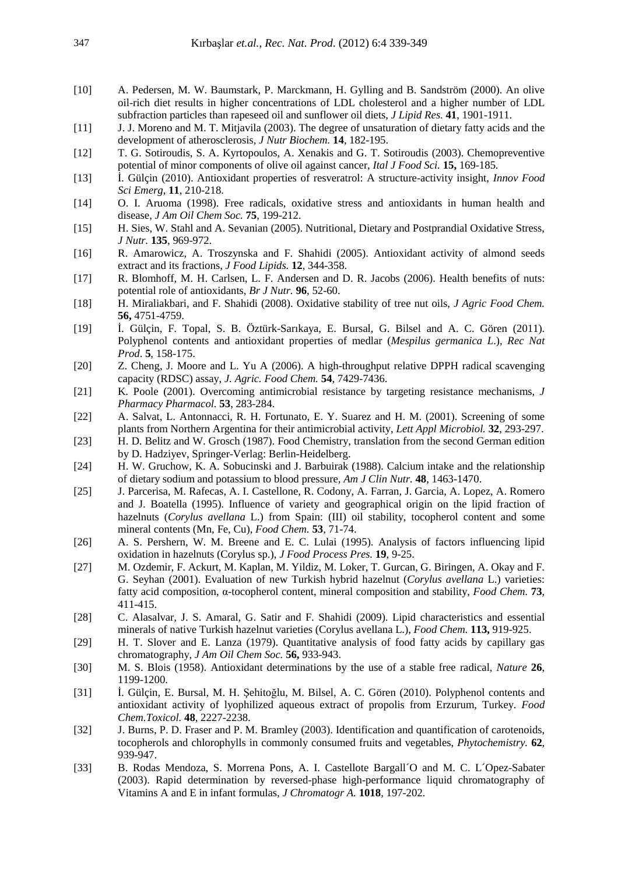- [10] A. Pedersen, M. W. Baumstark, P. Marckmann, H. Gylling and B. Sandström (2000). An olive oil-rich diet results in higher concentrations of LDL cholesterol and a higher number of LDL subfraction particles than rapeseed oil and sunflower oil diets, *J Lipid Res.* **41**, 1901-1911.
- [11] J. J. Moreno and M. T. Mitjavila (2003). The degree of unsaturation of dietary fatty acids and the development of atherosclerosis, *J Nutr Biochem.* **14**, 182-195.
- [12] T. G. Sotiroudis, S. A. Kyrtopoulos, A. Xenakis and G. T. Sotiroudis (2003). Chemopreventive potential of minor components of olive oil against cancer, *Ital J Food Sci.* **15,** 169-185.
- [13] İ. Gülçin (2010). Antioxidant properties of resveratrol: A structure-activity insight, *Innov Food Sci Emerg*, **11**, 210-218.
- [14] O. I. Aruoma (1998). Free radicals, oxidative stress and antioxidants in human health and disease, *J Am Oil Chem Soc.* **75**, 199-212.
- [15] H. Sies, W. Stahl and A. Sevanian (2005). Nutritional, Dietary and Postprandial Oxidative Stress, *J Nutr.* **135**, 969-972.
- [16] R. Amarowicz, A. Troszynska and F. Shahidi (2005). Antioxidant activity of almond seeds extract and its fractions, *J Food Lipids.* **12**, 344-358.
- [17] R. Blomhoff, M. H. Carlsen, L. F. Andersen and D. R. Jacobs (2006). Health benefits of nuts: potential role of antioxidants, *Br J Nutr.* **96**, 52-60.
- [18] H. Miraliakbari, and F. Shahidi (2008). Oxidative stability of tree nut oils, *J Agric Food Chem.* **56,** 4751-4759.
- [19] İ. Gülçin, F. Topal, S. B. Öztürk-Sarıkaya, E. Bursal, G. Bilsel and A. C. Gören (2011). Polyphenol contents and antioxidant properties of medlar (*Mespilus germanica L*.), *Rec Nat Prod*. **5**, 158-175.
- [20] Z. Cheng, J. Moore and L. Yu A (2006). A high-throughput relative DPPH radical scavenging capacity (RDSC) assay, *J. Agric. Food Chem.* **54**, 7429-7436.
- [21] K. Poole (2001). Overcoming antimicrobial resistance by targeting resistance mechanisms, *J Pharmacy Pharmacol.* **53**, 283-284.
- [22] A. Salvat, L. Antonnacci, R. H. Fortunato, E. Y. Suarez and H. M. (2001). Screening of some plants from Northern Argentina for their antimicrobial activity, *Lett Appl Microbiol.* **32**, 293-297.
- [23] H. D. Belitz and W. Grosch (1987). Food Chemistry, translation from the second German edition by D. Hadziyev, Springer-Verlag: Berlin-Heidelberg.
- [24] H. W. Gruchow, K. A. Sobucinski and J. Barbuirak (1988). Calcium intake and the relationship of dietary sodium and potassium to blood pressure*, Am J Clin Nutr.* **48**, 1463-1470.
- [25] J. Parcerisa, M. Rafecas, A. I. Castellone, R. Codony, A. Farran, J. Garcia, A. Lopez, A. Romero and J. Boatella (1995). Influence of variety and geographical origin on the lipid fraction of hazelnuts (*Corylus avellana* L.) from Spain: (III) oil stability, tocopherol content and some mineral contents (Mn, Fe, Cu), *Food Chem.* **53**, 71-74.
- [26] A. S. Pershern, W. M. Breene and E. C. Lulai (1995). Analysis of factors influencing lipid oxidation in hazelnuts (Corylus sp.), *J Food Process Pres.* **19**, 9-25.
- [27] M. Ozdemir, F. Ackurt, M. Kaplan, M. Yildiz, M. Loker, T. Gurcan, G. Biringen, A. Okay and F. G. Seyhan (2001). Evaluation of new Turkish hybrid hazelnut (*Corylus avellana* L.) varieties: fatty acid composition, α-tocopherol content, mineral composition and stability, *Food Chem.* **73**, 411-415.
- [28] C. Alasalvar, J. S. Amaral, G. Satir and F. Shahidi (2009). Lipid characteristics and essential minerals of native Turkish hazelnut varieties (Corylus avellana L.), *Food Chem.* **113,** 919-925.
- [29] H. T. Slover and E. Lanza (1979). Quantitative analysis of food fatty acids by capillary gas chromatography, *J Am Oil Chem Soc.* **56,** 933-943.
- [30] M. S. Blois (1958). Antioxidant determinations by the use of a stable free radical, *Nature* **26**, 1199-1200.
- [31] İ. Gülçin, E. Bursal, M. H. Şehitoğlu, M. Bilsel, A. C. Gören (2010). Polyphenol contents and antioxidant activity of lyophilized aqueous extract of propolis from Erzurum, Turkey. *Food Chem.Toxicol.* **48**, 2227-2238.
- [32] J. Burns, P. D. Fraser and P. M. Bramley (2003). Identification and quantification of carotenoids, tocopherols and chlorophylls in commonly consumed fruits and vegetables, *Phytochemistry.* **62**, 939-947.
- [33] B. Rodas Mendoza, S. Morrena Pons, A. I. Castellote Bargall'O and M. C. L'Opez-Sabater (2003). Rapid determination by reversed-phase high-performance liquid chromatography of Vitamins A and E in infant formulas, *J Chromatogr A.* **1018**, 197-202.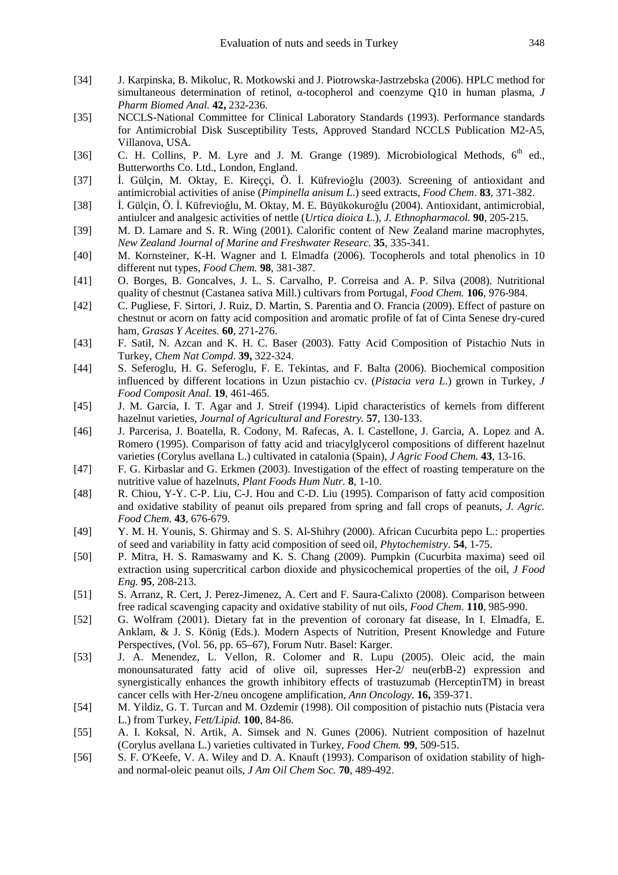- [34] J. Karpinska, B. Mikoluc, R. Motkowski and J. Piotrowska-Jastrzebska (2006). HPLC method for simultaneous determination of retinol, α-tocopherol and coenzyme Q10 in human plasma, *J Pharm Biomed Anal.* **42,** 232-236.
- [35] NCCLS-National Committee for Clinical Laboratory Standards (1993). Performance standards for Antimicrobial Disk Susceptibility Tests, Approved Standard NCCLS Publication M2-A5, Villanova, USA.
- [36] C. H. Collins, P. M. Lyre and J. M. Grange (1989). Microbiological Methods, 6<sup>th</sup> ed., Butterworths Co. Ltd., London, England.
- [37] İ. Gülçin, M. Oktay, E. Kireççi, Ö. İ. Küfrevioğlu (2003). Screening of antioxidant and antimicrobial activities of anise (*Pimpinella anisum L*.) seed extracts, *Food Chem*. **83**, 371-382.
- [38] İ. Gülçin, Ö. İ. Küfrevioğlu, M. Oktay, M. E. Büyükokuroğlu (2004). Antioxidant, antimicrobial, antiulcer and analgesic activities of nettle (*Urtica dioica L*.), *J. Ethnopharmacol.* **90**, 205-215.
- [39] M. D. Lamare and S. R. Wing (2001). Calorific content of New Zealand marine macrophytes, *New Zealand Journal of Marine and Freshwater Researc.* **35**, 335-341.
- [40] M. Kornsteiner, K-H. Wagner and I. Elmadfa (2006). Tocopherols and total phenolics in 10 different nut types, *Food Chem.* **98**, 381-387.
- [41] O. Borges, B. Goncalves, J. L. S. Carvalho, P. Correisa and A. P. Silva (2008). Nutritional quality of chestnut (Castanea sativa Mill.) cultivars from Portugal, *Food Chem.* **106**, 976-984.
- [42] C. Pugliese, F. Sirtori, J. Ruiz, D. Martin, S. Parentia and O. Francia (2009). Effect of pasture on chestnut or acorn on fatty acid composition and aromatic profile of fat of Cinta Senese dry-cured ham, *Grasas Y Aceites.* **60**, 271-276.
- [43] F. Satil, N. Azcan and K. H. C. Baser (2003). Fatty Acid Composition of Pistachio Nuts in Turkey, *Chem Nat Compd*. **39,** 322-324.
- [44] S. Seferoglu, H. G. Seferoglu, F. E. Tekintas, and F. Balta (2006). Biochemical composition influenced by different locations in Uzun pistachio cv. (*Pistacia vera L*.) grown in Turkey, *J Food Composit Anal.* **19**, 461-465.
- [45] J. M. Garcia, I. T. Agar and J. Streif (1994). Lipid characteristics of kernels from different hazelnut varieties, *Journal of Agricultural and Forestry.* **57**, 130-133.
- [46] J. Parcerisa, J. Boatella, R. Codony, M. Rafecas, A. I. Castellone, J. Garcia, A. Lopez and A. Romero (1995). Comparison of fatty acid and triacylglycerol compositions of different hazelnut varieties (Corylus avellana L.) cultivated in catalonia (Spain), *J Agric Food Chem.* **43**, 13-16.
- [47] F. G. Kirbaslar and G. Erkmen (2003). Investigation of the effect of roasting temperature on the nutritive value of hazelnuts, *Plant Foods Hum Nutr.* **8**, 1-10.
- [48] R. Chiou, Y-Y. C-P. Liu, C-J. Hou and C-D. Liu (1995). Comparison of fatty acid composition and oxidative stability of peanut oils prepared from spring and fall crops of peanuts, *J. Agric. Food Chem.* **43**, 676-679.
- [49] Y. M. H. Younis, S. Ghirmay and S. S. Al-Shihry (2000). African Cucurbita pepo L.: properties of seed and variability in fatty acid composition of seed oil, *Phytochemistry.* **54**, 1-75.
- [50] P. Mitra, H. S. Ramaswamy and K. S. Chang (2009). Pumpkin (Cucurbita maxima) seed oil extraction using supercritical carbon dioxide and physicochemical properties of the oil, *J Food Eng.* **95***,* 208-213.
- [51] S. Arranz, R. Cert, J. Perez-Jimenez, A. Cert and F. Saura-Calixto (2008). Comparison between free radical scavenging capacity and oxidative stability of nut oils, *Food Chem.* **110**, 985-990.
- [52] G. Wolfram (2001). Dietary fat in the prevention of coronary fat disease, In I. Elmadfa, E. Anklam, & J. S. König (Eds.). Modern Aspects of Nutrition, Present Knowledge and Future Perspectives, (Vol. 56, pp. 65–67), Forum Nutr. Basel: Karger.
- [53] J. A. Menendez, L. Vellon, R. Colomer and R. Lupu (2005). Oleic acid, the main monounsaturated fatty acid of olive oil, supresses Her-2/ neu(erbB-2) expression and synergistically enhances the growth inhibitory effects of trastuzumab (HerceptinTM) in breast cancer cells with Her-2/neu oncogene amplification, *Ann Oncology.* **16,** 359-371.
- [54] M. Yildiz, G. T. Turcan and M. Ozdemir (1998). Oil composition of pistachio nuts (Pistacia vera L.) from Turkey, *Fett/Lipid.* **100**, 84-86.
- [55] A. I. Koksal, N. Artik, A. Simsek and N. Gunes (2006). Nutrient composition of hazelnut (Corylus avellana L.) varieties cultivated in Turkey, *Food Chem.* **99**, 509-515.
- [56] S. F. O'Keefe, V. A. Wiley and D. A. Knauft (1993). Comparison of oxidation stability of highand normal-oleic peanut oils, *J Am Oil Chem Soc.* **70**, 489-492.